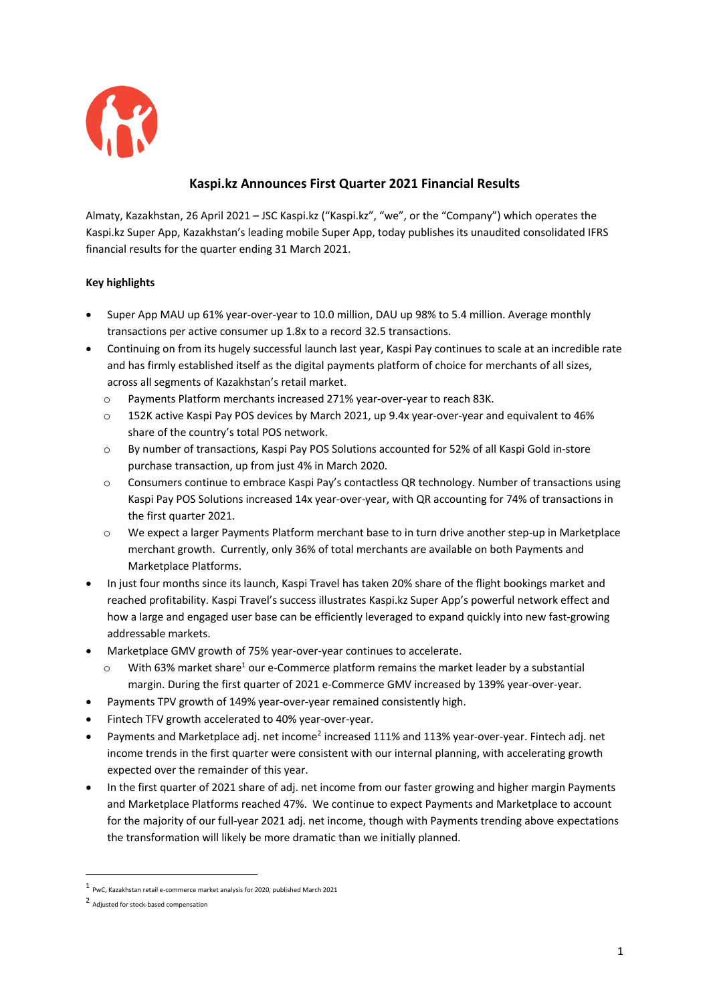

# **Kaspi.kz Announces First Quarter 2021 Financial Results**

Almaty, Kazakhstan, 26 April 2021 – JSC Kaspi.kz ("Kaspi.kz", "we", or the "Company") which operates the Kaspi.kz Super App, Kazakhstan's leading mobile Super App, today publishes its unaudited consolidated IFRS financial results for the quarter ending 31 March 2021.

# **Key highlights**

- Super App MAU up 61% year-over-year to 10.0 million, DAU up 98% to 5.4 million. Average monthly transactions per active consumer up 1.8x to a record 32.5 transactions.
- Continuing on from its hugely successful launch last year, Kaspi Pay continues to scale at an incredible rate and has firmly established itself as the digital payments platform of choice for merchants of all sizes, across all segments of Kazakhstan's retail market.
	- o Payments Platform merchants increased 271% year-over-year to reach 83K.
	- o 152K active Kaspi Pay POS devices by March 2021, up 9.4x year-over-year and equivalent to 46% share of the country's total POS network.
	- o By number of transactions, Kaspi Pay POS Solutions accounted for 52% of all Kaspi Gold in-store purchase transaction, up from just 4% in March 2020.
	- o Consumers continue to embrace Kaspi Pay's contactless QR technology. Number of transactions using Kaspi Pay POS Solutions increased 14x year-over-year, with QR accounting for 74% of transactions in the first quarter 2021.
	- o We expect a larger Payments Platform merchant base to in turn drive another step-up in Marketplace merchant growth. Currently, only 36% of total merchants are available on both Payments and Marketplace Platforms.
- In just four months since its launch, Kaspi Travel has taken 20% share of the flight bookings market and reached profitability. Kaspi Travel's success illustrates Kaspi.kz Super App's powerful network effect and how a large and engaged user base can be efficiently leveraged to expand quickly into new fast-growing addressable markets.
- Marketplace GMV growth of 75% year-over-year continues to accelerate.
	- $\circ$  With 63% market share<sup>1</sup> our e-Commerce platform remains the market leader by a substantial margin. During the first quarter of 2021 e-Commerce GMV increased by 139% year-over-year.
- Payments TPV growth of 149% year-over-year remained consistently high.
- Fintech TFV growth accelerated to 40% year-over-year.
- Payments and Marketplace adj. net income<sup>2</sup> increased 111% and 113% year-over-year. Fintech adj. net income trends in the first quarter were consistent with our internal planning, with accelerating growth expected over the remainder of this year.
- In the first quarter of 2021 share of adj. net income from our faster growing and higher margin Payments and Marketplace Platforms reached 47%. We continue to expect Payments and Marketplace to account for the majority of our full-year 2021 adj. net income, though with Payments trending above expectations the transformation will likely be more dramatic than we initially planned.

 <sup>1</sup> PwC, Kazakhstan retail e-commerce market analysis for 2020, published March 2021

<sup>2</sup> Adjusted for stock-based compensation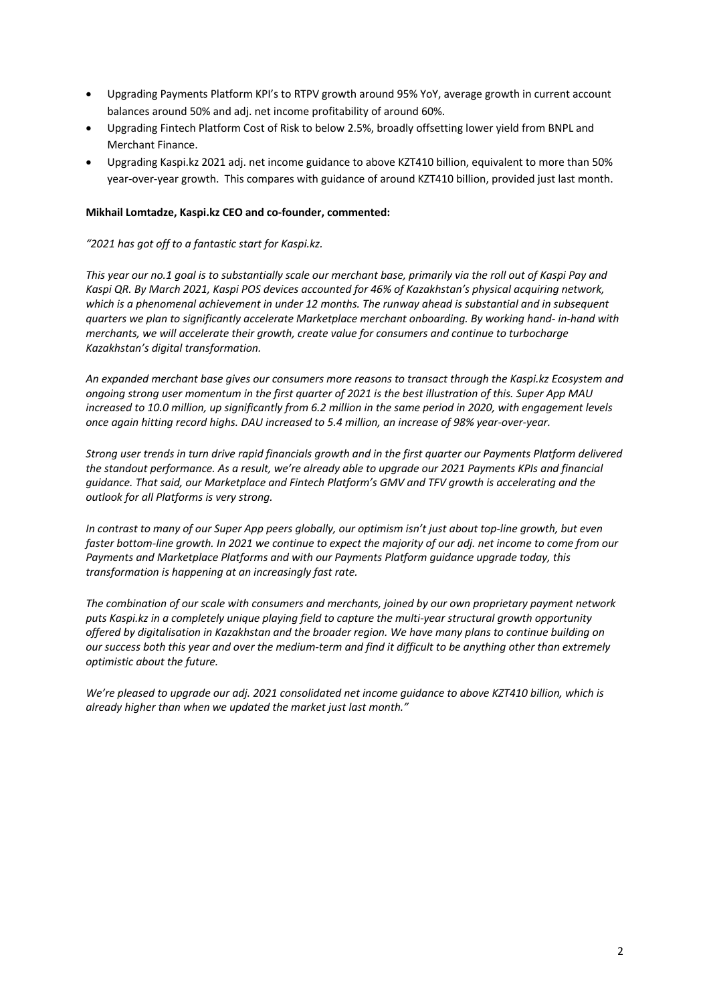- Upgrading Payments Platform KPI's to RTPV growth around 95% YoY, average growth in current account balances around 50% and adj. net income profitability of around 60%.
- Upgrading Fintech Platform Cost of Risk to below 2.5%, broadly offsetting lower yield from BNPL and Merchant Finance.
- Upgrading Kaspi.kz 2021 adj. net income guidance to above KZT410 billion, equivalent to more than 50% year-over-year growth. This compares with guidance of around KZT410 billion, provided just last month.

#### **Mikhail Lomtadze, Kaspi.kz CEO and co-founder, commented:**

#### *"2021 has got off to a fantastic start for Kaspi.kz.*

*This year our no.1 goal is to substantially scale our merchant base, primarily via the roll out of Kaspi Pay and Kaspi QR. By March 2021, Kaspi POS devices accounted for 46% of Kazakhstan's physical acquiring network, which is a phenomenal achievement in under 12 months. The runway ahead is substantial and in subsequent quarters we plan to significantly accelerate Marketplace merchant onboarding. By working hand- in-hand with merchants, we will accelerate their growth, create value for consumers and continue to turbocharge Kazakhstan's digital transformation.* 

*An expanded merchant base gives our consumers more reasons to transact through the Kaspi.kz Ecosystem and ongoing strong user momentum in the first quarter of 2021 is the best illustration of this. Super App MAU increased to 10.0 million, up significantly from 6.2 million in the same period in 2020, with engagement levels once again hitting record highs. DAU increased to 5.4 million, an increase of 98% year-over-year.*

*Strong user trends in turn drive rapid financials growth and in the first quarter our Payments Platform delivered the standout performance. As a result, we're already able to upgrade our 2021 Payments KPIs and financial guidance. That said, our Marketplace and Fintech Platform's GMV and TFV growth is accelerating and the outlook for all Platforms is very strong.* 

*In contrast to many of our Super App peers globally, our optimism isn't just about top-line growth, but even*  faster bottom-line growth. In 2021 we continue to expect the majority of our adj. net income to come from our *Payments and Marketplace Platforms and with our Payments Platform guidance upgrade today, this transformation is happening at an increasingly fast rate.* 

*The combination of our scale with consumers and merchants, joined by our own proprietary payment network puts Kaspi.kz in a completely unique playing field to capture the multi-year structural growth opportunity offered by digitalisation in Kazakhstan and the broader region. We have many plans to continue building on our success both this year and over the medium-term and find it difficult to be anything other than extremely optimistic about the future.* 

*We're pleased to upgrade our adj. 2021 consolidated net income guidance to above KZT410 billion, which is already higher than when we updated the market just last month."*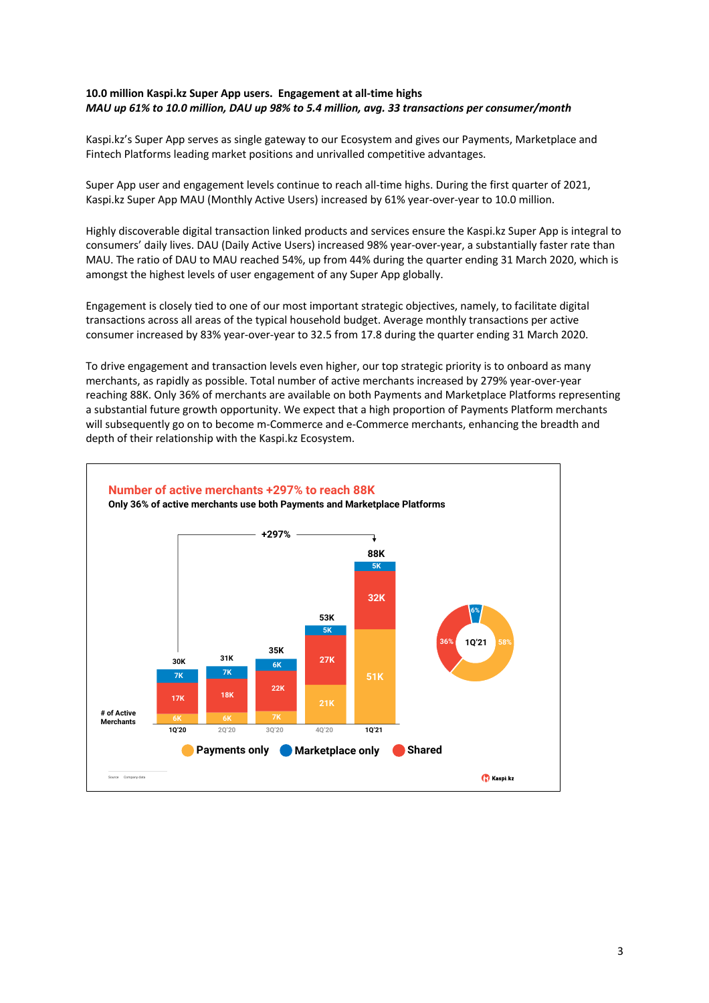### **10.0 million Kaspi.kz Super App users. Engagement at all-time highs**  *MAU up 61% to 10.0 million, DAU up 98% to 5.4 million, avg. 33 transactions per consumer/month*

Kaspi.kz's Super App serves as single gateway to our Ecosystem and gives our Payments, Marketplace and Fintech Platforms leading market positions and unrivalled competitive advantages.

Super App user and engagement levels continue to reach all-time highs. During the first quarter of 2021, Kaspi.kz Super App MAU (Monthly Active Users) increased by 61% year-over-year to 10.0 million.

Highly discoverable digital transaction linked products and services ensure the Kaspi.kz Super App is integral to consumers' daily lives. DAU (Daily Active Users) increased 98% year-over-year, a substantially faster rate than MAU. The ratio of DAU to MAU reached 54%, up from 44% during the quarter ending 31 March 2020, which is amongst the highest levels of user engagement of any Super App globally.

Engagement is closely tied to one of our most important strategic objectives, namely, to facilitate digital transactions across all areas of the typical household budget. Average monthly transactions per active consumer increased by 83% year-over-year to 32.5 from 17.8 during the quarter ending 31 March 2020.

To drive engagement and transaction levels even higher, our top strategic priority is to onboard as many merchants, as rapidly as possible. Total number of active merchants increased by 279% year-over-year reaching 88K. Only 36% of merchants are available on both Payments and Marketplace Platforms representing a substantial future growth opportunity. We expect that a high proportion of Payments Platform merchants will subsequently go on to become m-Commerce and e-Commerce merchants, enhancing the breadth and depth of their relationship with the Kaspi.kz Ecosystem.

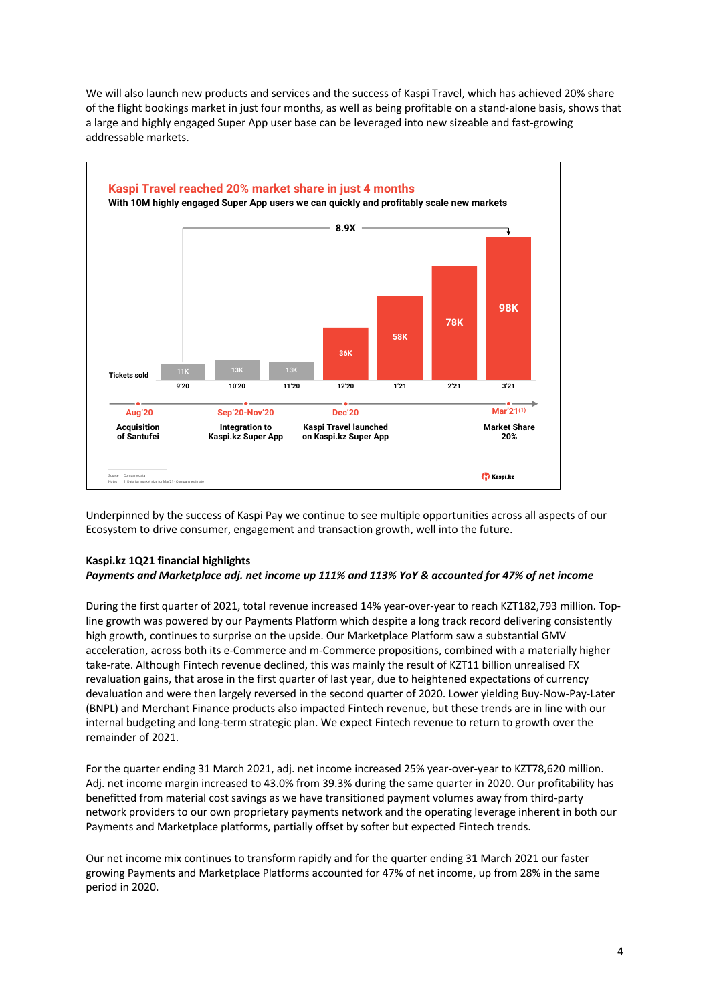

We will also launch new products and services and the success of Kaspi Travel, which has achieved 20% share of the flight bookings market in just four months, as well as being profitable on a stand-alone basis, shows that a large and highly engaged Super App user base can be leveraged into new sizeable and fast-growing addressable markets.

Underpinned by the success of Kaspi Pay we continue to see multiple opportunities across all aspects of our Ecosystem to drive consumer, engagement and transaction growth, well into the future.

# **Kaspi.kz 1Q21 financial highlights**

### *Payments and Marketplace adj. net income up 111% and 113% YoY & accounted for 47% of net income*

During the first quarter of 2021, total revenue increased 14% year-over-year to reach KZT182,793 million. Topline growth was powered by our Payments Platform which despite a long track record delivering consistently high growth, continues to surprise on the upside. Our Marketplace Platform saw a substantial GMV acceleration, across both its e-Commerce and m-Commerce propositions, combined with a materially higher take-rate. Although Fintech revenue declined, this was mainly the result of KZT11 billion unrealised FX revaluation gains, that arose in the first quarter of last year, due to heightened expectations of currency devaluation and were then largely reversed in the second quarter of 2020. Lower yielding Buy-Now-Pay-Later (BNPL) and Merchant Finance products also impacted Fintech revenue, but these trends are in line with our internal budgeting and long-term strategic plan. We expect Fintech revenue to return to growth over the remainder of 2021.

For the quarter ending 31 March 2021, adj. net income increased 25% year-over-year to KZT78,620 million. Adj. net income margin increased to 43.0% from 39.3% during the same quarter in 2020. Our profitability has benefitted from material cost savings as we have transitioned payment volumes away from third-party network providers to our own proprietary payments network and the operating leverage inherent in both our Payments and Marketplace platforms, partially offset by softer but expected Fintech trends.

Our net income mix continues to transform rapidly and for the quarter ending 31 March 2021 our faster growing Payments and Marketplace Platforms accounted for 47% of net income, up from 28% in the same period in 2020.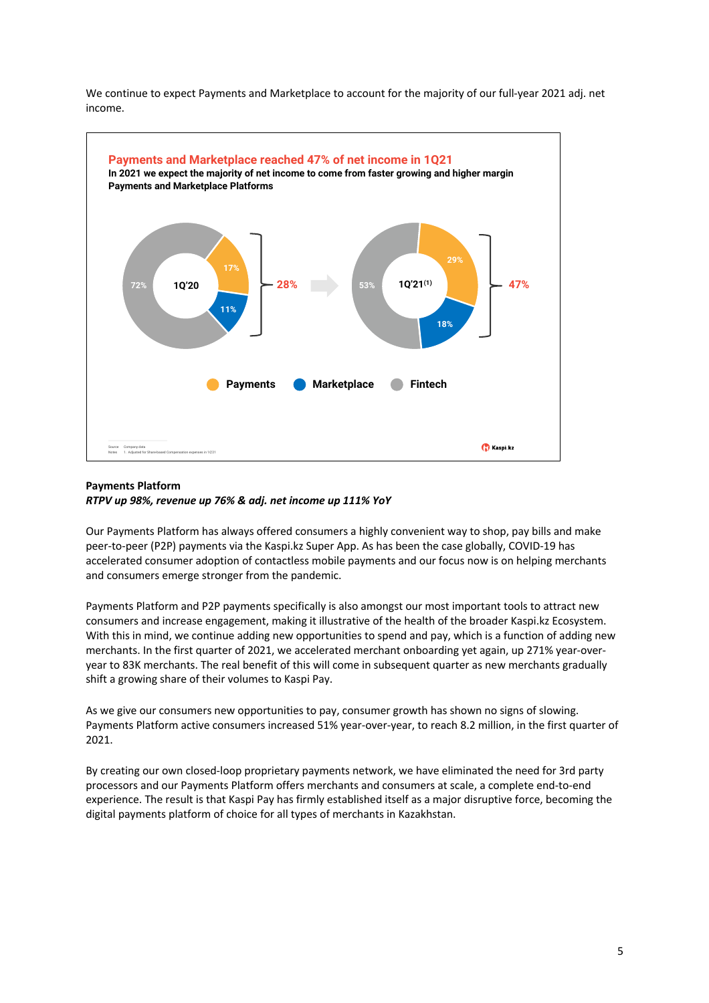We continue to expect Payments and Marketplace to account for the majority of our full-year 2021 adj. net income.



### **Payments Platform**  *RTPV up 98%, revenue up 76% & adj. net income up 111% YoY*

Our Payments Platform has always offered consumers a highly convenient way to shop, pay bills and make peer-to-peer (P2P) payments via the Kaspi.kz Super App. As has been the case globally, COVID-19 has accelerated consumer adoption of contactless mobile payments and our focus now is on helping merchants and consumers emerge stronger from the pandemic.

Payments Platform and P2P payments specifically is also amongst our most important tools to attract new consumers and increase engagement, making it illustrative of the health of the broader Kaspi.kz Ecosystem. With this in mind, we continue adding new opportunities to spend and pay, which is a function of adding new merchants. In the first quarter of 2021, we accelerated merchant onboarding yet again, up 271% year-overyear to 83K merchants. The real benefit of this will come in subsequent quarter as new merchants gradually shift a growing share of their volumes to Kaspi Pay.

As we give our consumers new opportunities to pay, consumer growth has shown no signs of slowing. Payments Platform active consumers increased 51% year-over-year, to reach 8.2 million, in the first quarter of 2021.

By creating our own closed-loop proprietary payments network, we have eliminated the need for 3rd party processors and our Payments Platform offers merchants and consumers at scale, a complete end-to-end experience. The result is that Kaspi Pay has firmly established itself as a major disruptive force, becoming the digital payments platform of choice for all types of merchants in Kazakhstan.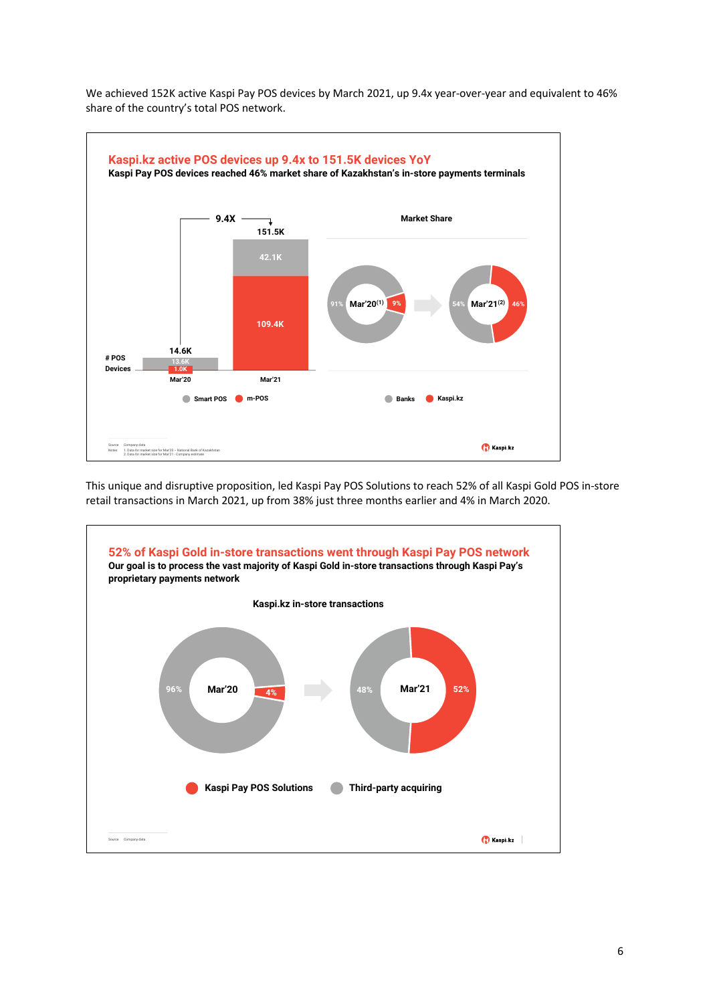

We achieved 152K active Kaspi Pay POS devices by March 2021, up 9.4x year-over-year and equivalent to 46% share of the country's total POS network.

This unique and disruptive proposition, led Kaspi Pay POS Solutions to reach 52% of all Kaspi Gold POS in-store retail transactions in March 2021, up from 38% just three months earlier and 4% in March 2020.

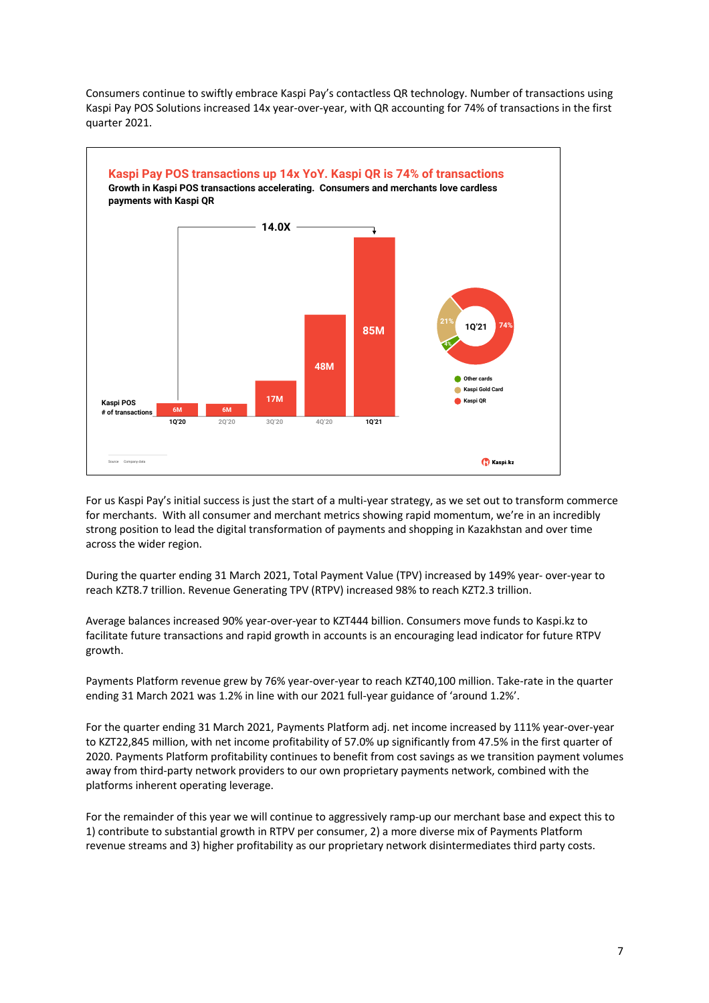

Consumers continue to swiftly embrace Kaspi Pay's contactless QR technology. Number of transactions using Kaspi Pay POS Solutions increased 14x year-over-year, with QR accounting for 74% of transactions in the first quarter 2021.

For us Kaspi Pay's initial success is just the start of a multi-year strategy, as we set out to transform commerce for merchants. With all consumer and merchant metrics showing rapid momentum, we're in an incredibly strong position to lead the digital transformation of payments and shopping in Kazakhstan and over time across the wider region.

During the quarter ending 31 March 2021, Total Payment Value (TPV) increased by 149% year- over-year to reach KZT8.7 trillion. Revenue Generating TPV (RTPV) increased 98% to reach KZT2.3 trillion.

Average balances increased 90% year-over-year to KZT444 billion. Consumers move funds to Kaspi.kz to facilitate future transactions and rapid growth in accounts is an encouraging lead indicator for future RTPV growth.

Payments Platform revenue grew by 76% year-over-year to reach KZT40,100 million. Take-rate in the quarter ending 31 March 2021 was 1.2% in line with our 2021 full-year guidance of 'around 1.2%'.

For the quarter ending 31 March 2021, Payments Platform adj. net income increased by 111% year-over-year to KZT22,845 million, with net income profitability of 57.0% up significantly from 47.5% in the first quarter of 2020. Payments Platform profitability continues to benefit from cost savings as we transition payment volumes away from third-party network providers to our own proprietary payments network, combined with the platforms inherent operating leverage.

For the remainder of this year we will continue to aggressively ramp-up our merchant base and expect this to 1) contribute to substantial growth in RTPV per consumer, 2) a more diverse mix of Payments Platform revenue streams and 3) higher profitability as our proprietary network disintermediates third party costs.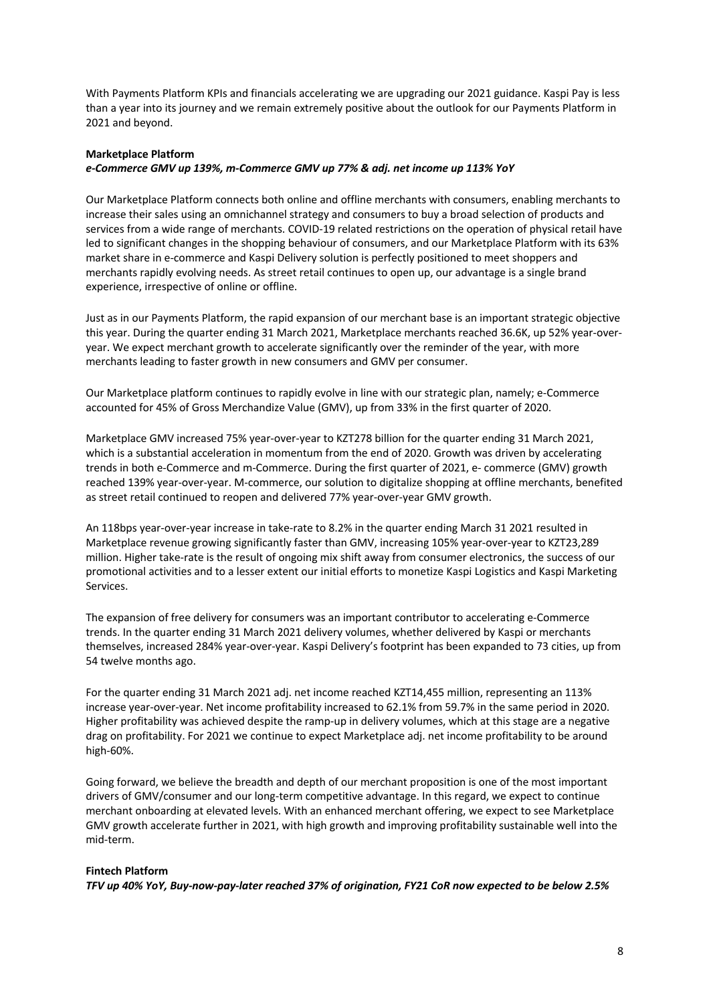With Payments Platform KPIs and financials accelerating we are upgrading our 2021 guidance. Kaspi Pay is less than a year into its journey and we remain extremely positive about the outlook for our Payments Platform in 2021 and beyond.

#### **Marketplace Platform**

### *e-Commerce GMV up 139%, m-Commerce GMV up 77% & adj. net income up 113% YoY*

Our Marketplace Platform connects both online and offline merchants with consumers, enabling merchants to increase their sales using an omnichannel strategy and consumers to buy a broad selection of products and services from a wide range of merchants. COVID-19 related restrictions on the operation of physical retail have led to significant changes in the shopping behaviour of consumers, and our Marketplace Platform with its 63% market share in e-commerce and Kaspi Delivery solution is perfectly positioned to meet shoppers and merchants rapidly evolving needs. As street retail continues to open up, our advantage is a single brand experience, irrespective of online or offline.

Just as in our Payments Platform, the rapid expansion of our merchant base is an important strategic objective this year. During the quarter ending 31 March 2021, Marketplace merchants reached 36.6K, up 52% year-overyear. We expect merchant growth to accelerate significantly over the reminder of the year, with more merchants leading to faster growth in new consumers and GMV per consumer.

Our Marketplace platform continues to rapidly evolve in line with our strategic plan, namely; e-Commerce accounted for 45% of Gross Merchandize Value (GMV), up from 33% in the first quarter of 2020.

Marketplace GMV increased 75% year-over-year to KZT278 billion for the quarter ending 31 March 2021, which is a substantial acceleration in momentum from the end of 2020. Growth was driven by accelerating trends in both e-Commerce and m-Commerce. During the first quarter of 2021, e- commerce (GMV) growth reached 139% year-over-year. M-commerce, our solution to digitalize shopping at offline merchants, benefited as street retail continued to reopen and delivered 77% year-over-year GMV growth.

An 118bps year-over-year increase in take-rate to 8.2% in the quarter ending March 31 2021 resulted in Marketplace revenue growing significantly faster than GMV, increasing 105% year-over-year to KZT23,289 million. Higher take-rate is the result of ongoing mix shift away from consumer electronics, the success of our promotional activities and to a lesser extent our initial efforts to monetize Kaspi Logistics and Kaspi Marketing Services.

The expansion of free delivery for consumers was an important contributor to accelerating e-Commerce trends. In the quarter ending 31 March 2021 delivery volumes, whether delivered by Kaspi or merchants themselves, increased 284% year-over-year. Kaspi Delivery's footprint has been expanded to 73 cities, up from 54 twelve months ago.

For the quarter ending 31 March 2021 adj. net income reached KZT14,455 million, representing an 113% increase year-over-year. Net income profitability increased to 62.1% from 59.7% in the same period in 2020. Higher profitability was achieved despite the ramp-up in delivery volumes, which at this stage are a negative drag on profitability. For 2021 we continue to expect Marketplace adj. net income profitability to be around high-60%.

Going forward, we believe the breadth and depth of our merchant proposition is one of the most important drivers of GMV/consumer and our long-term competitive advantage. In this regard, we expect to continue merchant onboarding at elevated levels. With an enhanced merchant offering, we expect to see Marketplace GMV growth accelerate further in 2021, with high growth and improving profitability sustainable well into the mid-term.

#### **Fintech Platform**

*TFV up 40% YoY, Buy-now-pay-later reached 37% of origination, FY21 CoR now expected to be below 2.5%*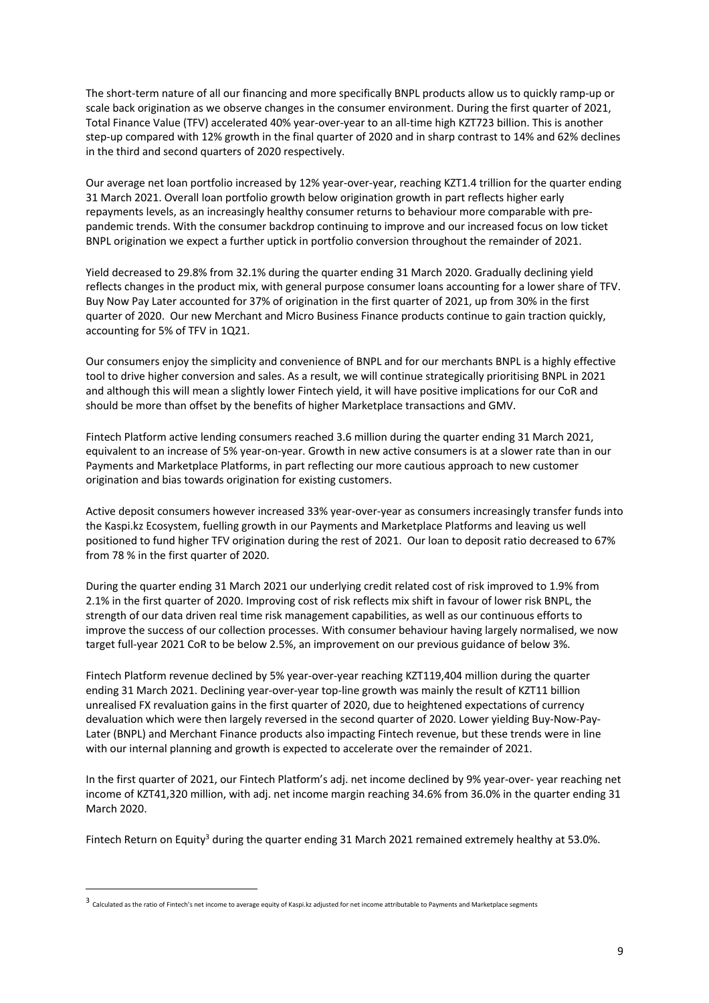The short-term nature of all our financing and more specifically BNPL products allow us to quickly ramp-up or scale back origination as we observe changes in the consumer environment. During the first quarter of 2021, Total Finance Value (TFV) accelerated 40% year-over-year to an all-time high KZT723 billion. This is another step-up compared with 12% growth in the final quarter of 2020 and in sharp contrast to 14% and 62% declines in the third and second quarters of 2020 respectively.

Our average net loan portfolio increased by 12% year-over-year, reaching KZT1.4 trillion for the quarter ending 31 March 2021. Overall loan portfolio growth below origination growth in part reflects higher early repayments levels, as an increasingly healthy consumer returns to behaviour more comparable with prepandemic trends. With the consumer backdrop continuing to improve and our increased focus on low ticket BNPL origination we expect a further uptick in portfolio conversion throughout the remainder of 2021.

Yield decreased to 29.8% from 32.1% during the quarter ending 31 March 2020. Gradually declining yield reflects changes in the product mix, with general purpose consumer loans accounting for a lower share of TFV. Buy Now Pay Later accounted for 37% of origination in the first quarter of 2021, up from 30% in the first quarter of 2020. Our new Merchant and Micro Business Finance products continue to gain traction quickly, accounting for 5% of TFV in 1Q21.

Our consumers enjoy the simplicity and convenience of BNPL and for our merchants BNPL is a highly effective tool to drive higher conversion and sales. As a result, we will continue strategically prioritising BNPL in 2021 and although this will mean a slightly lower Fintech yield, it will have positive implications for our CoR and should be more than offset by the benefits of higher Marketplace transactions and GMV.

Fintech Platform active lending consumers reached 3.6 million during the quarter ending 31 March 2021, equivalent to an increase of 5% year-on-year. Growth in new active consumers is at a slower rate than in our Payments and Marketplace Platforms, in part reflecting our more cautious approach to new customer origination and bias towards origination for existing customers.

Active deposit consumers however increased 33% year-over-year as consumers increasingly transfer funds into the Kaspi.kz Ecosystem, fuelling growth in our Payments and Marketplace Platforms and leaving us well positioned to fund higher TFV origination during the rest of 2021. Our loan to deposit ratio decreased to 67% from 78 % in the first quarter of 2020.

During the quarter ending 31 March 2021 our underlying credit related cost of risk improved to 1.9% from 2.1% in the first quarter of 2020. Improving cost of risk reflects mix shift in favour of lower risk BNPL, the strength of our data driven real time risk management capabilities, as well as our continuous efforts to improve the success of our collection processes. With consumer behaviour having largely normalised, we now target full-year 2021 CoR to be below 2.5%, an improvement on our previous guidance of below 3%.

Fintech Platform revenue declined by 5% year-over-year reaching KZT119,404 million during the quarter ending 31 March 2021. Declining year-over-year top-line growth was mainly the result of KZT11 billion unrealised FX revaluation gains in the first quarter of 2020, due to heightened expectations of currency devaluation which were then largely reversed in the second quarter of 2020. Lower yielding Buy-Now-Pay-Later (BNPL) and Merchant Finance products also impacting Fintech revenue, but these trends were in line with our internal planning and growth is expected to accelerate over the remainder of 2021.

In the first quarter of 2021, our Fintech Platform's adj. net income declined by 9% year-over- year reaching net income of KZT41,320 million, with adj. net income margin reaching 34.6% from 36.0% in the quarter ending 31 March 2020.

Fintech Return on Equity<sup>3</sup> during the quarter ending 31 March 2021 remained extremely healthy at 53.0%.

 <sup>3</sup> Calculated as the ratio of Fintech's net income to average equity of Kaspi.kz adjusted for net income attributable to Payments and Marketplace segments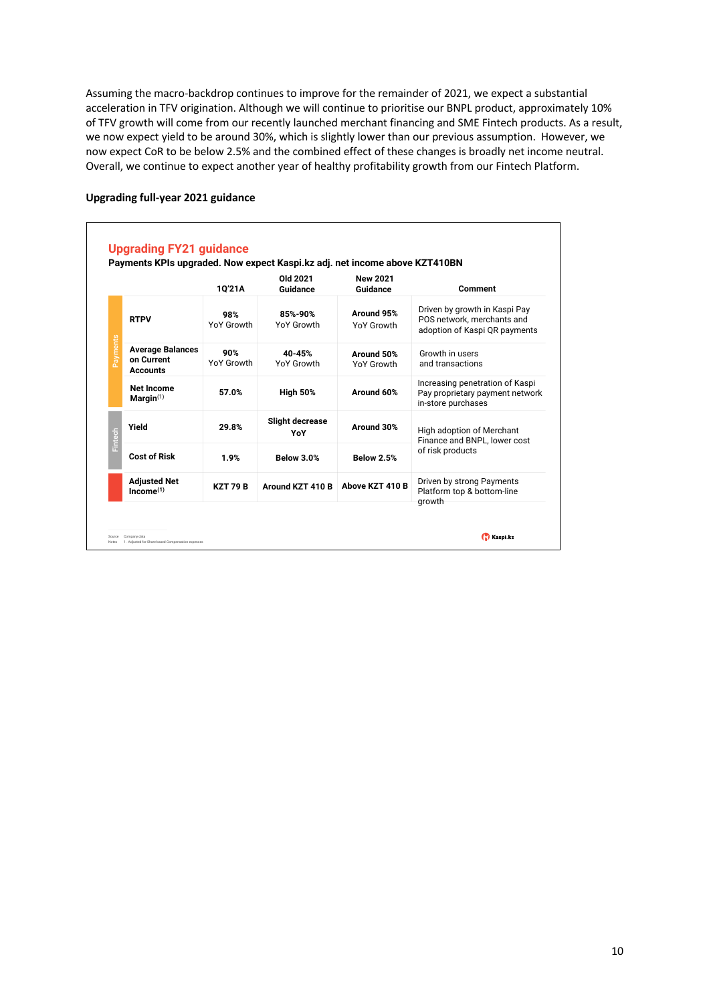Assuming the macro-backdrop continues to improve for the remainder of 2021, we expect a substantial acceleration in TFV origination. Although we will continue to prioritise our BNPL product, approximately 10% of TFV growth will come from our recently launched merchant financing and SME Fintech products. As a result, we now expect yield to be around 30%, which is slightly lower than our previous assumption. However, we now expect CoR to be below 2.5% and the combined effect of these changes is broadly net income neutral. Overall, we continue to expect another year of healthy profitability growth from our Fintech Platform.

### **Upgrading full-year 2021 guidance**

|  |                                                   | 10'21A            | Old 2021<br>Guidance          | <b>New 2021</b><br>Guidance | Comment                                                                                      |
|--|---------------------------------------------------|-------------------|-------------------------------|-----------------------------|----------------------------------------------------------------------------------------------|
|  | <b>RTPV</b>                                       | 98%<br>YoY Growth | 85%-90%<br>YoY Growth         | Around 95%<br>YoY Growth    | Driven by growth in Kaspi Pay<br>POS network, merchants and<br>adoption of Kaspi QR payments |
|  | <b>Average Balances</b><br>on Current<br>Accounts | 90%<br>YoY Growth | 40-45%<br>YoY Growth          | Around 50%<br>YoY Growth    | Growth in users<br>and transactions                                                          |
|  | <b>Net Income</b><br>$Marqin^{(1)}$               | 57.0%             | <b>High 50%</b>               | Around 60%                  | Increasing penetration of Kaspi<br>Pay proprietary payment network<br>in-store purchases     |
|  | Yield                                             | 29.8%             | <b>Slight decrease</b><br>YoY | Around 30%                  | High adoption of Merchant<br>Finance and BNPL. lower cost<br>of risk products                |
|  | <b>Cost of Risk</b>                               | 1.9%              | <b>Below 3.0%</b>             | <b>Below 2.5%</b>           |                                                                                              |
|  | <b>Adjusted Net</b><br>Income <sup>(1)</sup>      | <b>KZT 79 B</b>   | Around KZT 410 B              | Above KZT 410 B             | Driven by strong Payments<br>Platform top & bottom-line<br>growth                            |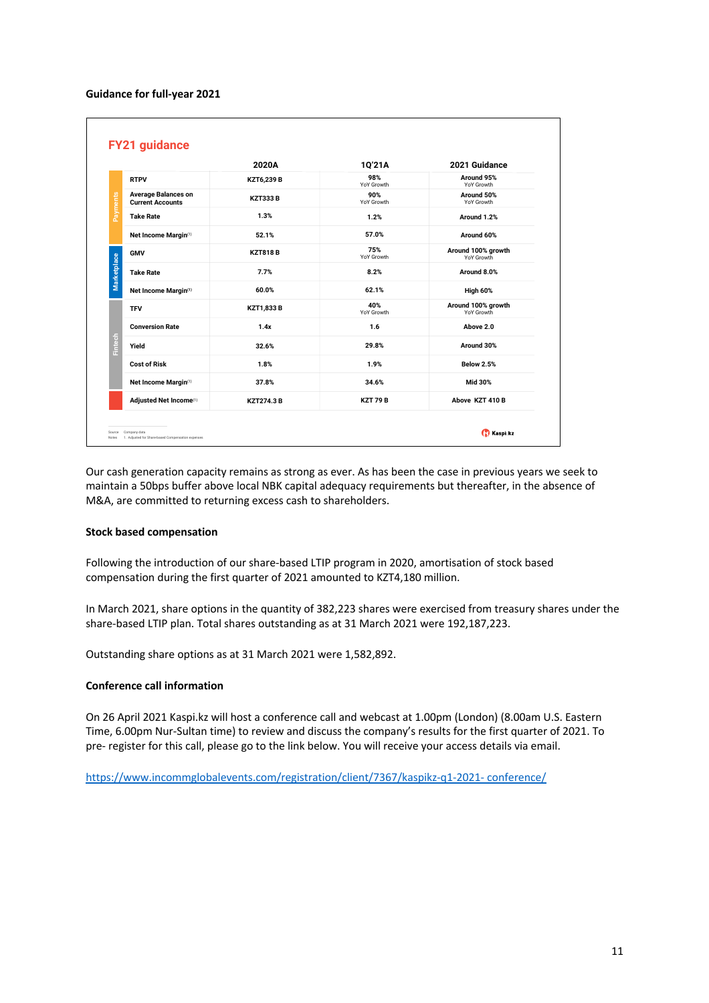#### **Guidance for full-year 2021**

|                                                       | 2020A             | 1Q'21A            | 2021 Guidance                    |
|-------------------------------------------------------|-------------------|-------------------|----------------------------------|
| <b>RTPV</b>                                           | KZT6,239 B        | 98%<br>YoY Growth | Around 95%<br>YoY Growth         |
| <b>Average Balances on</b><br><b>Current Accounts</b> | <b>KZT333B</b>    | 90%<br>YoY Growth | Around 50%<br>YoY Growth         |
| <b>Take Rate</b>                                      | 1.3%              | 1.2%              | Around 1.2%                      |
| Net Income Margin(1)                                  | 52.1%             | 57.0%             | Around 60%                       |
| <b>GMV</b>                                            | <b>KZT818B</b>    | 75%<br>YoY Growth | Around 100% growth<br>YoY Growth |
| <b>Take Rate</b>                                      | 7.7%              | 8.2%              | Around 8.0%                      |
| Net Income Margin(1)                                  | 60.0%             | 62.1%             | <b>High 60%</b>                  |
| <b>TFV</b>                                            | <b>KZT1,833 B</b> | 40%<br>YoY Growth | Around 100% growth<br>YoY Growth |
| <b>Conversion Rate</b>                                | 1.4x              | 1.6               | Above 2.0                        |
| Yield                                                 | 32.6%             | 29.8%             | Around 30%                       |
| <b>Cost of Risk</b>                                   | 1.8%              | 1.9%              | <b>Below 2.5%</b>                |
| Net Income Margin(1)                                  | 37.8%             | 34.6%             | Mid 30%                          |
| Adjusted Net Income(1)                                | <b>KZT274.3 B</b> | <b>KZT 79 B</b>   | Above KZT 410 B                  |

Our cash generation capacity remains as strong as ever. As has been the case in previous years we seek to maintain a 50bps buffer above local NBK capital adequacy requirements but thereafter, in the absence of M&A, are committed to returning excess cash to shareholders.

#### **Stock based compensation**

Following the introduction of our share-based LTIP program in 2020, amortisation of stock based compensation during the first quarter of 2021 amounted to KZT4,180 million.

In March 2021, share options in the quantity of 382,223 shares were exercised from treasury shares under the share-based LTIP plan. Total shares outstanding as at 31 March 2021 were 192,187,223.

Outstanding share options as at 31 March 2021 were 1,582,892.

### **Conference call information**

On 26 April 2021 Kaspi.kz will host a conference call and webcast at 1.00pm (London) (8.00am U.S. Eastern Time, 6.00pm Nur-Sultan time) to review and discuss the company's results for the first quarter of 2021. To pre- register for this call, please go to the link below. You will receive your access details via email.

https://www.incommglobalevents.com/registration/client/7367/kaspikz-q1-2021- conference/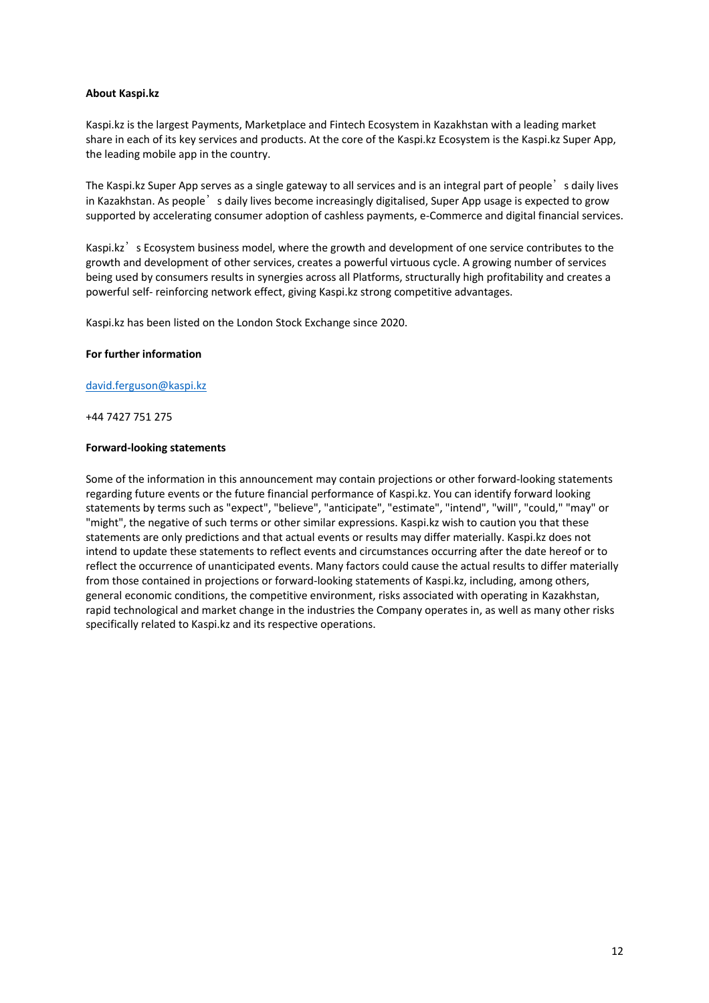### **About Kaspi.kz**

Kaspi.kz is the largest Payments, Marketplace and Fintech Ecosystem in Kazakhstan with a leading market share in each of its key services and products. At the core of the Kaspi.kz Ecosystem is the Kaspi.kz Super App, the leading mobile app in the country.

The Kaspi.kz Super App serves as a single gateway to all services and is an integral part of people<sup>'</sup> s daily lives in Kazakhstan. As people's daily lives become increasingly digitalised, Super App usage is expected to grow supported by accelerating consumer adoption of cashless payments, e-Commerce and digital financial services.

Kaspi.kz<sup>'</sup> s Ecosystem business model, where the growth and development of one service contributes to the growth and development of other services, creates a powerful virtuous cycle. A growing number of services being used by consumers results in synergies across all Platforms, structurally high profitability and creates a powerful self- reinforcing network effect, giving Kaspi.kz strong competitive advantages.

Kaspi.kz has been listed on the London Stock Exchange since 2020.

#### **For further information**

david.ferguson@kaspi.kz

+44 7427 751 275

#### **Forward-looking statements**

Some of the information in this announcement may contain projections or other forward-looking statements regarding future events or the future financial performance of Kaspi.kz. You can identify forward looking statements by terms such as "expect", "believe", "anticipate", "estimate", "intend", "will", "could," "may" or "might", the negative of such terms or other similar expressions. Kaspi.kz wish to caution you that these statements are only predictions and that actual events or results may differ materially. Kaspi.kz does not intend to update these statements to reflect events and circumstances occurring after the date hereof or to reflect the occurrence of unanticipated events. Many factors could cause the actual results to differ materially from those contained in projections or forward-looking statements of Kaspi.kz, including, among others, general economic conditions, the competitive environment, risks associated with operating in Kazakhstan, rapid technological and market change in the industries the Company operates in, as well as many other risks specifically related to Kaspi.kz and its respective operations.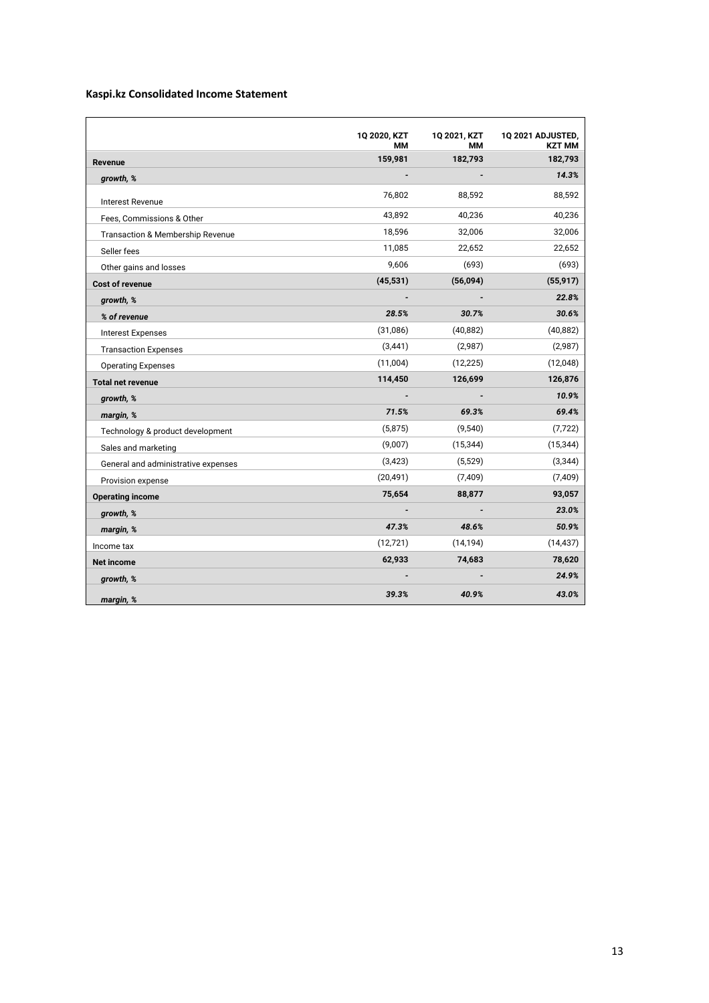# **Kaspi.kz Consolidated Income Statement**

|                                     | 1Q 2020, KZT<br>ΜМ | 1Q 2021, KZT<br>ΜМ | 1Q 2021 ADJUSTED,<br><b>KZT MM</b> |
|-------------------------------------|--------------------|--------------------|------------------------------------|
| Revenue                             | 159,981            | 182,793            | 182,793                            |
| growth, %                           |                    |                    | 14.3%                              |
| <b>Interest Revenue</b>             | 76,802             | 88,592             | 88,592                             |
| Fees, Commissions & Other           | 43,892             | 40,236             | 40,236                             |
| Transaction & Membership Revenue    | 18,596             | 32,006             | 32,006                             |
| Seller fees                         | 11,085             | 22,652             | 22,652                             |
| Other gains and losses              | 9,606              | (693)              | (693)                              |
| <b>Cost of revenue</b>              | (45, 531)          | (56,094)           | (55, 917)                          |
| growth, %                           |                    |                    | 22.8%                              |
| % of revenue                        | 28.5%              | 30.7%              | 30.6%                              |
| <b>Interest Expenses</b>            | (31,086)           | (40, 882)          | (40, 882)                          |
| <b>Transaction Expenses</b>         | (3, 441)           | (2,987)            | (2,987)                            |
| <b>Operating Expenses</b>           | (11,004)           | (12, 225)          | (12,048)                           |
| <b>Total net revenue</b>            | 114,450            | 126,699            | 126,876                            |
| growth, %                           |                    |                    | 10.9%                              |
| margin, %                           | 71.5%              | 69.3%              | 69.4%                              |
| Technology & product development    | (5,875)            | (9,540)            | (7, 722)                           |
| Sales and marketing                 | (9,007)            | (15, 344)          | (15, 344)                          |
| General and administrative expenses | (3, 423)           | (5, 529)           | (3,344)                            |
| Provision expense                   | (20, 491)          | (7, 409)           | (7, 409)                           |
| <b>Operating income</b>             | 75,654             | 88,877             | 93,057                             |
| growth, %                           |                    |                    | 23.0%                              |
| margin, %                           | 47.3%              | 48.6%              | 50.9%                              |
| Income tax                          | (12, 721)          | (14, 194)          | (14, 437)                          |
| <b>Net income</b>                   | 62,933             | 74,683             | 78,620                             |
| growth, %                           |                    |                    | 24.9%                              |
| margin, %                           | 39.3%              | 40.9%              | 43.0%                              |